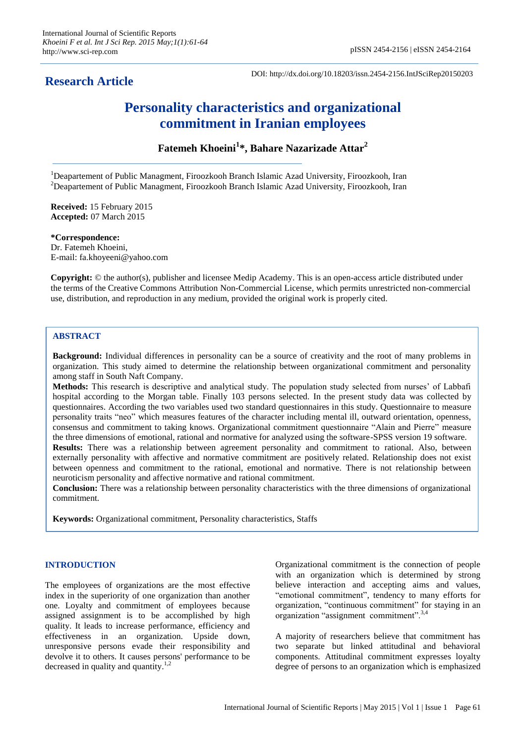# **Research Article**

DOI: http://dx.doi.org/10.18203/issn.2454-2156.IntJSciRep20150203

# **Personality characteristics and organizational commitment in Iranian employees**

**Fatemeh Khoeini<sup>1</sup> \*, Bahare Nazarizade Attar<sup>2</sup>**

<sup>1</sup>Deapartement of Public Managment, Firoozkooh Branch Islamic Azad University, Firoozkooh, Iran <sup>2</sup>Deapartement of Public Managment, Firoozkooh Branch Islamic Azad University, Firoozkooh, Iran

**Received:** 15 February 2015 **Accepted:** 07 March 2015

**\*Correspondence:** Dr. Fatemeh Khoeini, E-mail: fa.khoyeeni@yahoo.com

**Copyright:** © the author(s), publisher and licensee Medip Academy. This is an open-access article distributed under the terms of the Creative Commons Attribution Non-Commercial License, which permits unrestricted non-commercial use, distribution, and reproduction in any medium, provided the original work is properly cited.

# **ABSTRACT**

**Background:** Individual differences in personality can be a source of creativity and the root of many problems in organization. This study aimed to determine the relationship between organizational commitment and personality among staff in South Naft Company.

**Methods:** This research is descriptive and analytical study. The population study selected from nurses' of Labbafi hospital according to the Morgan table. Finally 103 persons selected. In the present study data was collected by questionnaires. According the two variables used two standard questionnaires in this study. Questionnaire to measure personality traits "neo" which measures features of the character including mental ill, outward orientation, openness, consensus and commitment to taking knows. Organizational commitment questionnaire "Alain and Pierre" measure the three dimensions of emotional, rational and normative for analyzed using the software-SPSS version 19 software.

**Results:** There was a relationship between agreement personality and commitment to rational. Also, between externally personality with affective and normative commitment are positively related. Relationship does not exist between openness and commitment to the rational, emotional and normative. There is not relationship between neuroticism personality and affective normative and rational commitment.

**Conclusion:** There was a relationship between personality characteristics with the three dimensions of organizational commitment.

**Keywords:** Organizational commitment, Personality characteristics, Staffs

## **INTRODUCTION**

The employees of organizations are the most effective index in the superiority of one organization than another one. Loyalty and commitment of employees because assigned assignment is to be accomplished by high quality. It leads to increase performance, efficiency and effectiveness in an organization. Upside down, unresponsive persons evade their responsibility and devolve it to others. It causes persons' performance to be decreased in quality and quantity.<sup>1,2</sup>

Organizational commitment is the connection of people with an organization which is determined by strong believe interaction and accepting aims and values, "emotional commitment", tendency to many efforts for organization, "continuous commitment" for staying in an organization "assignment commitment".<sup>3,4</sup>

A majority of researchers believe that commitment has two separate but linked attitudinal and behavioral components. Attitudinal commitment expresses loyalty degree of persons to an organization which is emphasized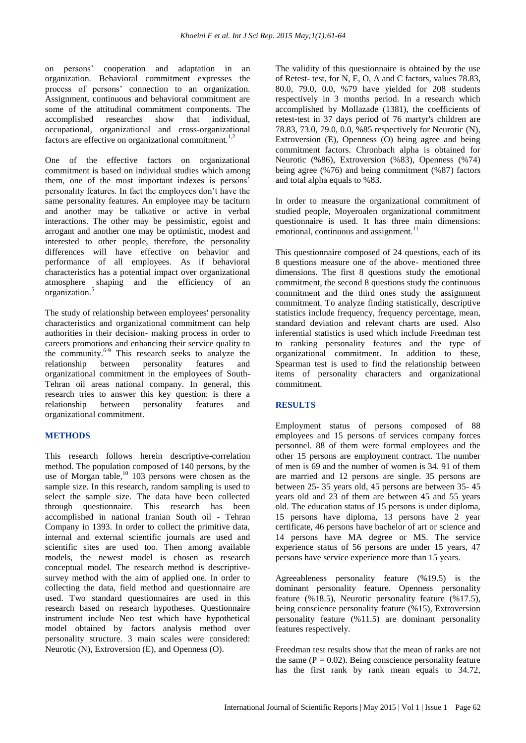on persons' cooperation and adaptation in an organization. Behavioral commitment expresses the process of persons' connection to an organization. Assignment, continuous and behavioral commitment are some of the attitudinal commitment components. The accomplished researches show that individual, occupational, organizational and cross-organizational factors are effective on organizational commitment.<sup>1,2</sup>

One of the effective factors on organizational commitment is based on individual studies which among them, one of the most important indexes is persons' personality features. In fact the employees don't have the same personality features. An employee may be taciturn and another may be talkative or active in verbal interactions. The other may be pessimistic, egoist and arrogant and another one may be optimistic, modest and interested to other people, therefore, the personality differences will have effective on behavior and performance of all employees. As if behavioral characteristics has a potential impact over organizational atmosphere shaping and the efficiency of an organization.<sup>5</sup>

The study of relationship between employees' personality characteristics and organizational commitment can help authorities in their decision- making process in order to careers promotions and enhancing their service quality to the community. 6-9 This research seeks to analyze the relationship between personality features and organizational commitment in the employees of South-Tehran oil areas national company. In general, this research tries to answer this key question: is there a relationship between personality features and organizational commitment.

# **METHODS**

This research follows herein descriptive-correlation method. The population composed of 140 persons, by the use of Morgan table,<sup>10</sup> 103 persons were chosen as the sample size. In this research, random sampling is used to select the sample size. The data have been collected through questionnaire. This research has been accomplished in national Iranian South oil - Tehran Company in 1393. In order to collect the primitive data, internal and external scientific journals are used and scientific sites are used too. Then among available models, the newest model is chosen as research conceptual model. The research method is descriptivesurvey method with the aim of applied one. In order to collecting the data, field method and questionnaire are used. Two standard questionnaires are used in this research based on research hypotheses. Questionnaire instrument include Neo test which have hypothetical model obtained by factors analysis method over personality structure. 3 main scales were considered: Neurotic (N), Extroversion (E), and Openness (O).

The validity of this questionnaire is obtained by the use of Retest- test, for N, E, O, A and C factors, values 78.83, 80.0, 79.0, 0.0, %79 have yielded for 208 students respectively in 3 months period. In a research which accomplished by Mollazade (1381), the coefficients of retest-test in 37 days period of 76 martyr's children are 78.83, 73.0, 79.0, 0.0, %85 respectively for Neurotic (N), Extroversion (E), Openness (O) being agree and being commitment factors. Chronbach alpha is obtained for Neurotic (%86), Extroversion (%83), Openness (%74) being agree (%76) and being commitment (%87) factors and total alpha equals to %83.

In order to measure the organizational commitment of studied people, Moyeroalen organizational commitment questionnaire is used. It has three main dimensions: emotional, continuous and assignment. $^{11}$ 

This questionnaire composed of 24 questions, each of its 8 questions measure one of the above- mentioned three dimensions. The first 8 questions study the emotional commitment, the second 8 questions study the continuous commitment and the third ones study the assignment commitment. To analyze finding statistically, descriptive statistics include frequency, frequency percentage, mean, standard deviation and relevant charts are used. Also inferential statistics is used which include Freedman test to ranking personality features and the type of organizational commitment. In addition to these, Spearman test is used to find the relationship between items of personality characters and organizational commitment.

## **RESULTS**

Employment status of persons composed of 88 employees and 15 persons of services company forces personnel. 88 of them were formal employees and the other 15 persons are employment contract. The number of men is 69 and the number of women is 34. 91 of them are married and 12 persons are single. 35 persons are between 25- 35 years old, 45 persons are between 35- 45 years old and 23 of them are between 45 and 55 years old. The education status of 15 persons is under diploma, 15 persons have diploma, 13 persons have 2 year certificate, 46 persons have bachelor of art or science and 14 persons have MA degree or MS. The service experience status of 56 persons are under 15 years, 47 persons have service experience more than 15 years.

Agreeableness personality feature (%19.5) is the dominant personality feature. Openness personality feature (%18.5), Neurotic personality feature (%17.5), being conscience personality feature (%15), Extroversion personality feature (%11.5) are dominant personality features respectively.

Freedman test results show that the mean of ranks are not the same  $(P = 0.02)$ . Being conscience personality feature has the first rank by rank mean equals to 34.72,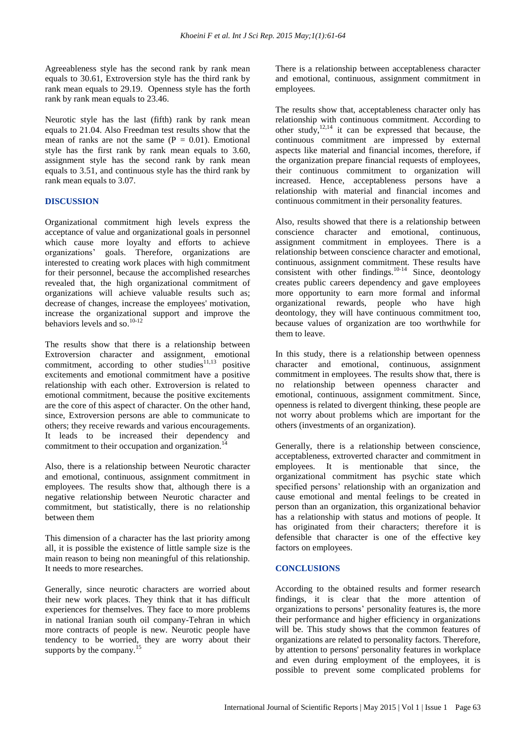Agreeableness style has the second rank by rank mean equals to 30.61, Extroversion style has the third rank by rank mean equals to 29.19. Openness style has the forth rank by rank mean equals to 23.46.

Neurotic style has the last (fifth) rank by rank mean equals to 21.04. Also Freedman test results show that the mean of ranks are not the same  $(P = 0.01)$ . Emotional style has the first rank by rank mean equals to 3.60, assignment style has the second rank by rank mean equals to 3.51, and continuous style has the third rank by rank mean equals to 3.07.

#### **DISCUSSION**

Organizational commitment high levels express the acceptance of value and organizational goals in personnel which cause more loyalty and efforts to achieve<br>organizations' goals. Therefore, organizations are goals. Therefore, organizations are interested to creating work places with high commitment for their personnel, because the accomplished researches revealed that, the high organizational commitment of organizations will achieve valuable results such as; decrease of changes, increase the employees' motivation, increase the organizational support and improve the behaviors levels and so. 10-12

The results show that there is a relationship between Extroversion character and assignment, emotional commitment, according to other studies<sup>11,13</sup> positive excitements and emotional commitment have a positive relationship with each other. Extroversion is related to emotional commitment, because the positive excitements are the core of this aspect of character. On the other hand, since, Extroversion persons are able to communicate to others; they receive rewards and various encouragements. It leads to be increased their dependency and commitment to their occupation and organization.

Also, there is a relationship between Neurotic character and emotional, continuous, assignment commitment in employees. The results show that, although there is a negative relationship between Neurotic character and commitment, but statistically, there is no relationship between them

This dimension of a character has the last priority among all, it is possible the existence of little sample size is the main reason to being non meaningful of this relationship. It needs to more researches.

Generally, since neurotic characters are worried about their new work places. They think that it has difficult experiences for themselves. They face to more problems in national Iranian south oil company-Tehran in which more contracts of people is new. Neurotic people have tendency to be worried, they are worry about their supports by the company. $<sup>1</sup>$ </sup>

There is a relationship between acceptableness character and emotional, continuous, assignment commitment in employees.

The results show that, acceptableness character only has relationship with continuous commitment. According to other study, $12,14$  it can be expressed that because, the continuous commitment are impressed by external aspects like material and financial incomes, therefore, if the organization prepare financial requests of employees, their continuous commitment to organization will increased. Hence, acceptableness persons have a relationship with material and financial incomes and continuous commitment in their personality features.

Also, results showed that there is a relationship between conscience character and emotional, continuous, assignment commitment in employees. There is a relationship between conscience character and emotional, continuous, assignment commitment. These results have consistent with other findings. $10-14$  Since, deontology creates public careers dependency and gave employees more opportunity to earn more formal and informal organizational rewards, people who have high deontology, they will have continuous commitment too, because values of organization are too worthwhile for them to leave.

In this study, there is a relationship between openness character and emotional, continuous, assignment commitment in employees. The results show that, there is no relationship between openness character and emotional, continuous, assignment commitment. Since, openness is related to divergent thinking, these people are not worry about problems which are important for the others (investments of an organization).

Generally, there is a relationship between conscience, acceptableness, extroverted character and commitment in employees. It is mentionable that since, the organizational commitment has psychic state which specified persons' relationship with an organization and cause emotional and mental feelings to be created in person than an organization, this organizational behavior has a relationship with status and motions of people. It has originated from their characters; therefore it is defensible that character is one of the effective key factors on employees.

#### **CONCLUSIONS**

According to the obtained results and former research findings, it is clear that the more attention of organizations to persons' personality features is, the more their performance and higher efficiency in organizations will be. This study shows that the common features of organizations are related to personality factors. Therefore, by attention to persons' personality features in workplace and even during employment of the employees, it is possible to prevent some complicated problems for